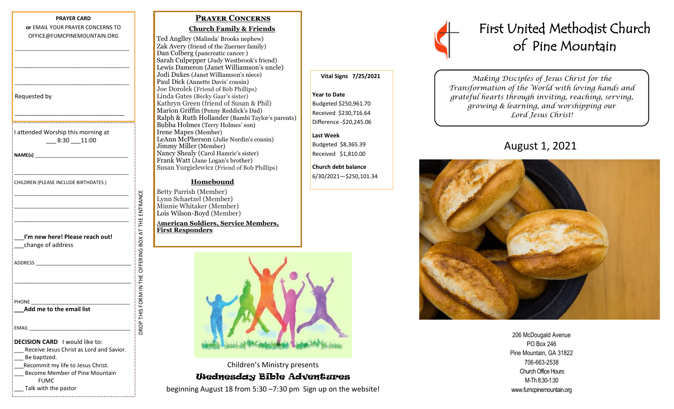### **PRAYER CARD or** EMAIL YOUR PRAYER CONCERNS TO OFFICE@FUMCPINEMOUNTAIN.ORG

\_\_\_\_\_\_\_\_\_\_\_\_\_\_\_\_\_\_\_\_\_\_\_\_\_\_\_\_\_\_\_\_\_\_\_\_\_\_\_\_\_\_\_

\_\_\_\_\_\_\_\_\_\_\_\_\_\_\_\_\_\_\_\_\_\_\_\_\_\_\_\_\_\_\_\_\_\_\_\_\_\_\_\_\_\_\_

\_\_\_\_\_\_\_\_\_\_\_\_\_\_\_\_\_\_\_\_\_\_\_\_\_\_\_\_\_\_\_\_\_\_\_\_\_\_\_\_\_\_\_

\_\_\_\_\_\_\_\_\_\_\_\_\_\_\_\_\_\_\_\_\_\_\_\_\_\_\_\_\_\_\_\_\_

Requested by

I attended Worship this morning at \_\_\_ 8:30 \_\_\_11:00

\_\_\_\_\_\_\_\_\_\_\_\_\_\_\_\_\_\_\_\_\_\_\_\_\_\_\_\_\_\_\_\_\_\_\_\_\_\_\_\_\_\_\_

**NAME(s)** \_\_\_\_\_\_\_\_\_\_\_\_\_\_\_\_\_\_\_\_\_\_\_\_\_\_\_\_\_\_\_\_\_\_\_

CHILDREN (PLEASE INCLUDE BIRTHDATES )

| I'm new here! Please reach out!                                                                                                                                                                                                |
|--------------------------------------------------------------------------------------------------------------------------------------------------------------------------------------------------------------------------------|
| change of address                                                                                                                                                                                                              |
|                                                                                                                                                                                                                                |
| ADDRESS AND THE STATE OF THE STATE OF THE STATE OF THE STATE OF THE STATE OF THE STATE OF THE STATE OF THE STATE OF THE STATE OF THE STATE OF THE STATE OF THE STATE OF THE STATE OF THE STATE OF THE STATE OF THE STATE OF TH |
|                                                                                                                                                                                                                                |
|                                                                                                                                                                                                                                |
|                                                                                                                                                                                                                                |
|                                                                                                                                                                                                                                |
| Add me to the email list                                                                                                                                                                                                       |
|                                                                                                                                                                                                                                |
| <b>EMAIL</b>                                                                                                                                                                                                                   |
|                                                                                                                                                                                                                                |
| <b>DECISION CARD</b> I would like to:                                                                                                                                                                                          |
| Receive Jesus Christ as Lord and Savior.                                                                                                                                                                                       |
| Be baptized.                                                                                                                                                                                                                   |
| Recommit my life to Jesus Christ.                                                                                                                                                                                              |
| Become Member of Pine Mountain                                                                                                                                                                                                 |
| <b>FUMC</b>                                                                                                                                                                                                                    |

Talk with the pastor

# **Prayer Concerns**

## **Church Family & Friends**

Ted Anglley (Malinda' Brooks nephew) Zak Avery (friend of the Zuerner family) Dan Colberg (pancreatic cancer ) Sarah Culpepper (Judy Westbrook's friend) Lewis Dameron (Janet Williamson's uncle) Jodi Dukes (Janet Williamson's niece) Paul Dick (Annette Davis' cousin) Joe Dorolek (Friend of Bob Phillips) Linda Gates (Becky Gaar's sister) Kathryn Green (friend of Susan & Phil) Marion Griffin (Penny Reddick's Dad) Ralph & Ruth Hollander (Bambi Taylor's parents) Bubba Holmes (Terry Holmes' son) Irene Mapes (Member) LeAnn McPherson (Julie Nordin's cousin) Jimmy Miller (Member) Nancy Shealy (Carol Hamric's sister) Frank Watt (Jane Logan's brother) Susan Yurgielewicz (Friend of Bob Phillips)

## **Homebound**

Betty Parrish (Member) Lynn Schaetzel (Member) Minnie Whitaker (Member) Lois Wilson-Boyd (Member)

DROP THIS FORM IN THE OFFERING BOX AT THE ENTRANCE

OROP THIS FORM IN THE OFFERING BOX AT THE ENTRANCE

A**merican Soldiers, Service Members, First Responders**



Children's Ministry presents Wednesday Bible Adventures beginning August 18 from 5:30 –7:30 pm Sign up on the website!



*Making Disciples of Jesus Christ for the Transformation of the World with loving hands and grateful hearts through inviting, reaching, serving, growing & learning, and worshipping our Lord Jesus Christ!* 

# August 1, 2021



206 McDougald Avenue PO Box 246 Pine Mountain, GA 31822 706-663-2538 Church Office Hours: M-Th 8:30-1:30 www.fumcpinemountain.org

# **Vital Signs 7/25/2021**

**Year to Date**  Budgeted \$250,961.70 Received \$230,716.64 Difference -\$20,245.06

## **Last Week**

Budgeted \$8,365.39 Received \$1,810.00

**Church debt balance** 6/30/2021—\$250,101.34